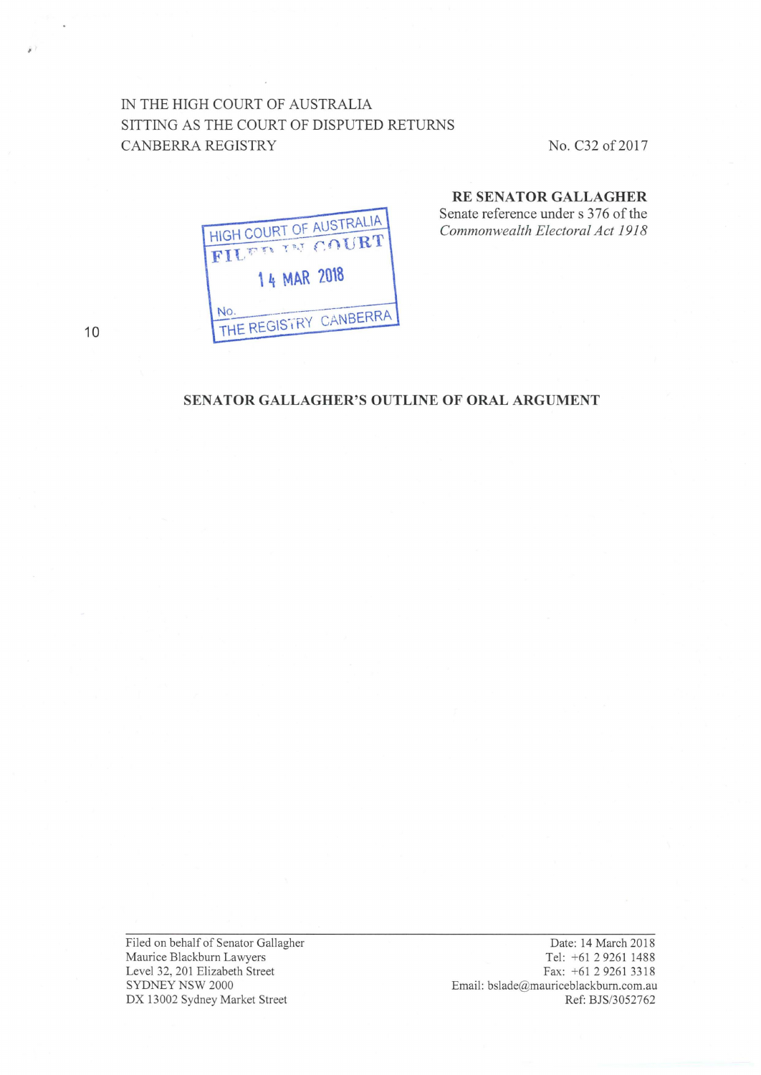### IN THE HIGH COURT OF AUSTRALIA SITTING AS THE COURT OF DISPUTED RETURNS CANBERRA REGISTRY No. C32 of 2017

# HIGH COURT OF AUSTRALIA **FILED IN COURT** 14 MAR 2018 NO. THE REGISTRY CANBERRA No.

## **RE SENATOR GALLAGHER**

Senate reference under s 376 of the *Commonwealth Electoral Act 1918* 

**SENATOR GALLAGHER'S OUTLINE OF ORAL ARGUMENT** 

Filed on behalf of Senator Gallagher Maurice Blackburn Lawyers Level 32, 201 Elizabeth Street SYDNEY NSW 2000 DX 13002 Sydney Market Street

Date: 14 March 2018 Tel: +61 2 9261 1488 Fax: +61292613318 Email: bslade@mauriceblackburn.com.au Ref: BJS/3052762

10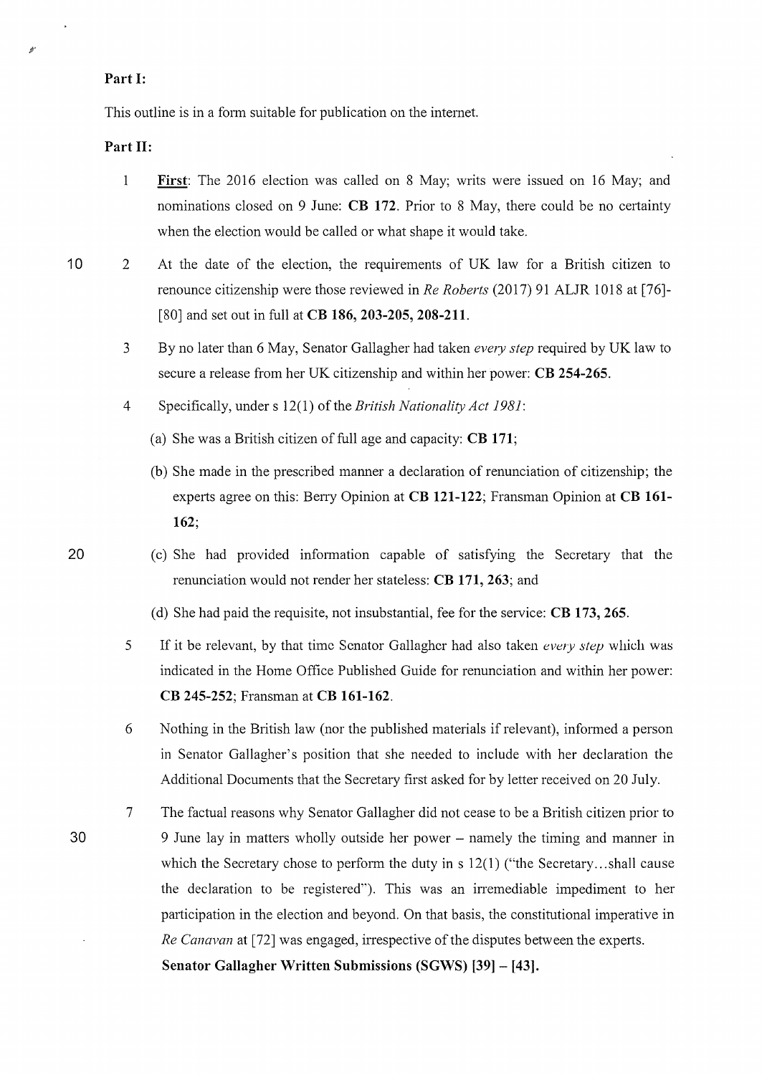### **Part 1:**

This outline is in a form suitable for publication on the internet.

**Part 11:** 

- 1 **First:** The 2016 election was called on 8 May; writs were issued on 16 May; and nominations closed on 9 June: **CB 172.** Prior to 8 May, there could be no certainty when the election would be called or what shape it would take.
- 10 2 At the date of the election, the requirements of UK law for a British citizen to renounce citizenship were those reviewed in *Re Roberts* (2017) 91 ALJR 1018 at [76]-[80] and set out in full at **CB 186, 203-205, 208-211.** 
	- 3 By no later than 6 May, Senator Gallagher had taken *every step* required by UK law to secure a release from her UK citizenship and within her power: **CB 254-265.**
	- 4 Specifically, under s 12(1) of the *British Nationality Act 1981:* 
		- (a) She was a British citizen of full age and capacity: **CB 171;**
		- (b) She made in the prescribed manner a declaration of renunciation of citizenship; the experts agree on this: Berry Opinion at **CB 121-122**; Fransman Opinion at **CB 161-162;**
		- (c) She had provided infmmation capable of satisfying the Secretary that the renunciation would not render her stateless: **CB 171, 263;** and
		- (d) She had paid the requisite, not insubstantial, fee for the service: **CB 173, 265.**
	- 5 If it be relevant, by that time Senator Gallagher had also taken *every step* which was indicated in the Home Office Published Guide for renunciation and within her power: **CB 245-252;** Fransman at **CB 161-162.**
	- 6 Nothing in the British law (nor the published materials if relevant), informed a person in Senator Gallagher's position that she needed to include with her declaration the Additional Documents that the Secretary first asked for by letter received on 20 July.
	- 7 The factual reasons why Senator Gallagher did not cease to be a British citizen prior to 9 June lay in matters wholly outside her power – namely the timing and manner in which the Secretary chose to perform the duty in s  $12(1)$  ("the Secretary...shall cause the declaration to be registered"). This was an irremediable impediment to her participation in the election and beyond. On that basis, the constitutional imperative in *Re Canavan* at [72] was engaged, irrespective of the disputes between the experts.

**Senator Gallagher Written Submissions (SGWS) [39] - [43].** 

20

30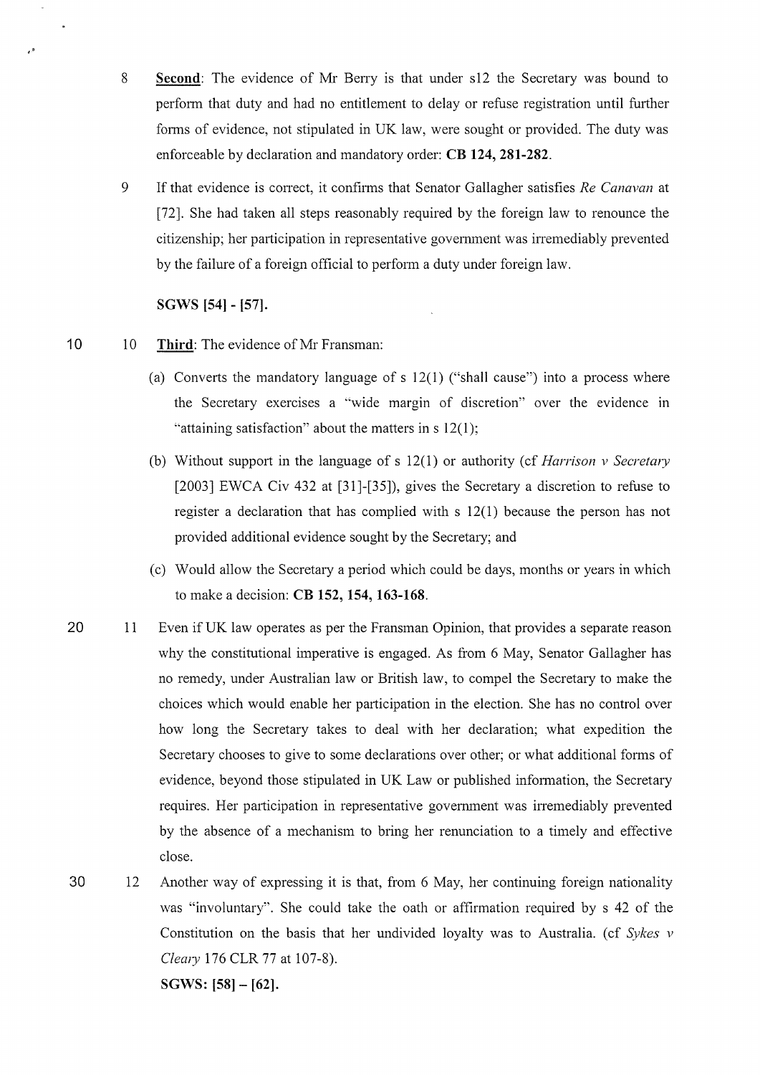- 8 **Second:** The evidence of Mr Beny is that under s12 the Secretary was bound to perform that duty and had no entitlement to delay or refuse registration until further fonns of evidence, not stipulated in UK law, were sought or provided. The duty was enforceable by declaration and mandatory order: **CB 124, 281-282.**
- 9 If that evidence is conect, it confirms that Senator Gallagher satisfies *Re Canavan* at [72]. She had taken all steps reasonably required by the foreign law to renounce the citizenship; her participation in representative government was irremediably prevented by the failure of a foreign official to perform a duty under foreign law.

### **SGWS [54]-** [57].

- 10 10 Third: The evidence of Mr Fransman:
	- (a) Converts the mandatory language of s 12(1) ("shall cause") into a process where the Secretary exercises a "wide margin of discretion" over the evidence in "attaining satisfaction" about the matters in  $s 12(1)$ ;
	- (b) Without support in the language of s 12(1) or authority (cf *Harrison v Secretmy*  [2003] EWCA Civ 432 at [31]-[35]), gives the Secretary a discretion to refuse to register a declaration that has complied with s 12(1) because the person has not provided additional evidence sought by the Secretary; and
	- (c) Would allow the Secretary a period which could be days, months or years in which to make a decision: **CB 152, 154, 163-168.**
- 20 11 Even if UK law operates as per the Fransman Opinion, that provides a separate reason why the constitutional imperative is engaged. As from 6 May, Senator Gallagher has no remedy, under Australian law or British law, to compel the Secretary to make the choices which would enable her participation in the election. She has no control over how long the Secretary takes to deal with her declaration; what expedition the Secretary chooses to give to some declarations over other; or what additional forms of evidence, beyond those stipulated in UK Law or published information, the Secretary requires. Her participation in representative government was inemediably prevented by the absence of a mechanism to bring her renunciation to a timely and effective close.

30 12 Another way of expressing it is that, from 6 May, her continuing foreign nationality was "involuntary". She could take the oath or affirmation required by s 42 of the Constitution on the basis that her undivided loyalty was to Australia. ( cf *Sykes v Clewy* 176 CLR 77 at 107-8). **SGWS: [58]- [62].** 

 $\cdot$